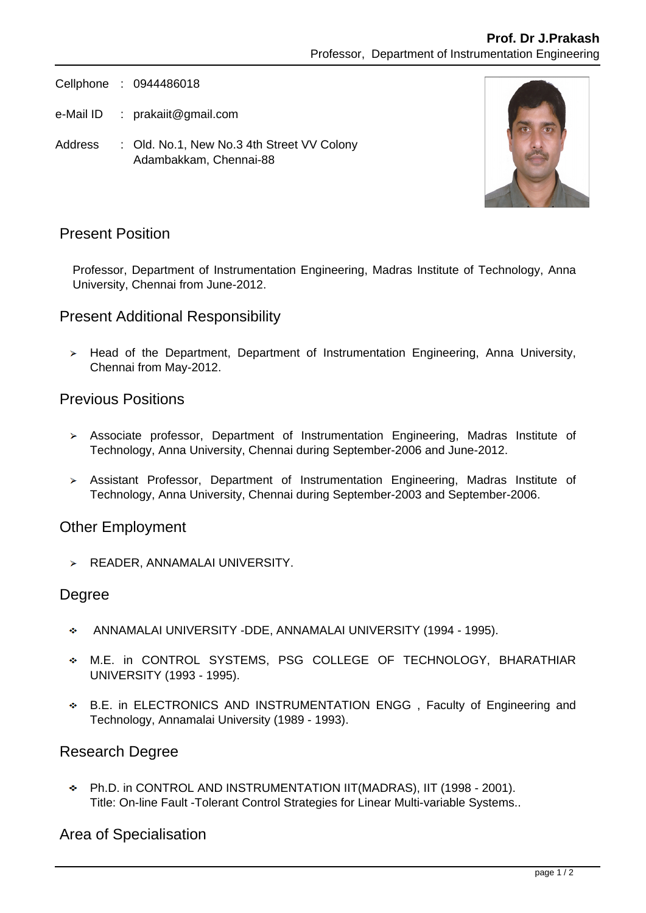Cellphone : 0944486018

e-Mail ID : prakaiit@gmail.com

Address : Old. No.1, New No.3 4th Street VV Colony Adambakkam, Chennai-88



# Present Position

Professor, Department of Instrumentation Engineering, Madras Institute of Technology, Anna University, Chennai from June-2012.

### Present Additional Responsibility

> Head of the Department, Department of Instrumentation Engineering, Anna University, Chennai from May-2012.

# Previous Positions

- Associate professor, Department of Instrumentation Engineering, Madras Institute of Technology, Anna University, Chennai during September-2006 and June-2012.
- Assistant Professor, Department of Instrumentation Engineering, Madras Institute of Technology, Anna University, Chennai during September-2003 and September-2006.

### Other Employment

 $\triangleright$  READER, ANNAMALAI UNIVERSITY.

#### Degree

- ANNAMALAI UNIVERSITY -DDE, ANNAMALAI UNIVERSITY (1994 1995). a.
- M.E. in CONTROL SYSTEMS, PSG COLLEGE OF TECHNOLOGY, BHARATHIAR UNIVERSITY (1993 - 1995).
- B.E. in ELECTRONICS AND INSTRUMENTATION ENGG , Faculty of Engineering and Technology, Annamalai University (1989 - 1993).

### Research Degree

Ph.D. in CONTROL AND INSTRUMENTATION IIT(MADRAS), IIT (1998 - 2001). Title: On-line Fault -Tolerant Control Strategies for Linear Multi-variable Systems..

### Area of Specialisation